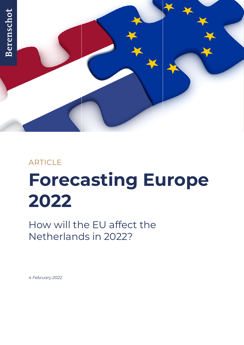

## ARTICLE

# **Forecasting Europe 2022**

How will the EU affect the Netherlands in 2022?

*4 February 2022*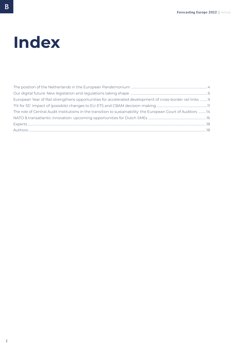## **Index**

| European Year of Rail strengthens opportunities for accelerated development of cross-border rail links  9      |  |
|----------------------------------------------------------------------------------------------------------------|--|
|                                                                                                                |  |
| The role of Central Audit Institutions in the transition to sustainability: the European Court of Auditors  14 |  |
|                                                                                                                |  |
|                                                                                                                |  |
|                                                                                                                |  |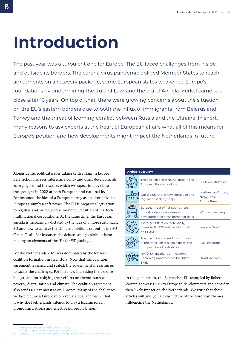## **Introduction**

The past year was a turbulent one for Europe. The EU faced challenges from inside and outside its borders. The corona virus pandemic obliged Member States to reach agreements on a recovery package, some European states weakened Europe's foundations by undermining the Rule of Law, and the era of Angela Merkel came to a close after 16 years. On top of that, there were growing concerns about the situation on the EU's eastern borders due to both the influx of immigrants from Belarus and Turkey and the threat of looming conflict between Russia and the Ukraine. In short, many reasons to ask experts at the heart of European affairs what all of this means for Europe's position and how developments might impact the Netherlands in future.

Alongside the political issues taking centre stage in Europe, Berenschot also sees interesting policy and other developments emerging behind the scenes which we expect to move into the spotlight in 2022 at both European and national level. For instance, the idea of a European army as an alternative to Europe as simply a soft power. The EU is preparing legislation to regulate and/or reduce the monopoly position of Big Tech multinational corporations. At the same time, the European agenda is increasingly dictated by the idea of a more sustainable EU and how to achieve the climate ambitions set out in the EU Green Deal<sup>1</sup>. For instance, the debates and possible decisionmaking on elements of the 'Fit for 55' package.

For the Netherlands 2021 was dominated by the longest coalition formation in its history. Now that the coalition agreement is signed and sealed, the government is gearing up to tackle the challenges. For instance, increasing the defence budget, and intensifying their efforts on themes such as poverty, digitalisation and climate. The coalition agreement also sends a clear message on Europe: 'Many of the challenges we face require a European or even a global approach. That is why the Netherlands intends to play a leading role in promoting a strong and effective European Union.2.'

| <b>Article overview</b> |                                                                                                                  |                                                  |  |
|-------------------------|------------------------------------------------------------------------------------------------------------------|--------------------------------------------------|--|
|                         | The position of the Netherlands in the<br>European Pandemonium                                                   | Luuk van Middelaar                               |  |
|                         | Our digital future: New legislation and<br>regulations taking shape                                              | Marieke van Putten,<br>Nicky Tanke,<br>Emma Bree |  |
|                         | European Year of Rail strengthens<br>opportunities for accelerated<br>development of cross-border rail links     | Wim van de Camp                                  |  |
|                         | 'Fit for 55': Effect on (potentially)<br>intensify EU-ETS and decision-making<br>on CBAM                         | Leon de Graaf                                    |  |
|                         | The role of Central Audit Institutions<br>in the transition to sustainability: the<br>European Court of Auditors | Eva Lindström                                    |  |
|                         | NATO & transatlantic innovation:<br>upcoming opportunities for Dutch<br><b>SME<sub>S</sub></b>                   | David van Weel                                   |  |

In this publication, the Berenschot EU-team, led by Robert Wester, addresses six key European developments and consider their likely impact on the Netherlands. We trust that these articles will give you a clear picture of the European themes influencing the Netherlands.

<sub>B</sub>

[https://ec.europa.eu/info/sites/default/files/](about:blank)

[european-green-deal-communication\\_en.pdf](about:blank)

<sup>2</sup> [https://www.parlement.com/9291000/d/pdfs/coalitieakkoord-2021-2025.pdf](about:blank)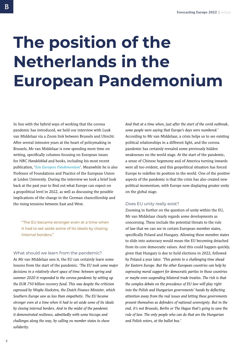## <span id="page-3-0"></span>**The position of the Netherlands in the European Pandemonium**

In line with the hybrid ways of working that the corona pandemic has introduced, we held our interview with Luuk van Middelaar via a Zoom link between Brussels and Utrecht. After several intensive years at the heart of policymaking in Brussels, Mr van Middelaar is now spending more time on writing, specifically columns focusing on European issues for *NRC Handelsblad* and books, including his most recent publication, '*[Een Europees Pandemonium](https://www.historischeuitgeverij.nl/hu.php?action=viewpublicatie&is=1031%5d.)*'. Meanwhile he is also Professor of Foundations and Practice of the European Union at Leiden University. During the interview we took a brief look back at the past year to find out what Europe can expect on a geopolitical level in 2022, as well as discussing the possible implications of the change in the German chancellorship and the rising tensions between East and West.

"The EU became stronger even at a time when it had to set aside some of its ideals by closing internal borders."

### What should we learn from the pandemic?

As Mr van Middelaar sees it, the EU can certainly learn some lessons from the start of the pandemic. *'The EU took some major decisions in a relatively short space of time: between spring and summer 2020 it responded to the corona pandemic by setting up the EUR 750 billion recovery fund. This was despite the criticism expressed by Wopke Hoekstra, the Dutch Finance Minister, which Southern Europe saw as less than empathetic. The EU became stronger even at a time when it had to set aside some of its ideals by closing internal borders. And in the midst of the pandemic it demonstrated resilience, admittedly with some hiccups and challenges along the way, by calling on member states to show solidarity.* 

*And that at a time when, just after the start of the covid outbreak, some people were saying that Europe's days were numbered.'* According to Mr van Middelaar, a crisis helps us to see existing political relationships in a different light, and the corona pandemic has certainly revealed some previously hidden weaknesses on the world stage. At the start of the pandemic, a sense of Chinese hegemony and of America turning inwards were all too evident, and this geopolitical situation has forced Europe to redefine its position in the world. One of the positive aspects of the pandemic is that the crisis has also created new political momentum, with Europe now displaying greater unity on the global stage.

## Does EU unity really exist?

Zooming in further on the question of unity within the EU, Mr van Middelaar clearly regards some developments as concerning. These include the potential threats to the rule of law that we can see in certain European member states, specifically Poland and Hungary. Allowing these member states to slide into autocracy would mean the EU becoming detached from its core democratic values. And this could happen quickly, given that Hungary is due to hold elections in 2022, followed by Poland a year later. *'This points to a challenging time ahead for Eastern Europe. But the other European countries can help by expressing moral support for democratic parties in those countries or maybe even suspending bilateral trade treaties. The risk is that the complex debate on the precedence of EU law will play right into the Polish and Hungarian governments' hands by deflecting attention away from the real issues and letting these governments present themselves as defenders of national sovereignty. But in the end, it's not Brussels, Berlin or The Hague that's going to save the rule of law. The only people who can do that are the Hungarian and Polish voters, at the ballot box.'*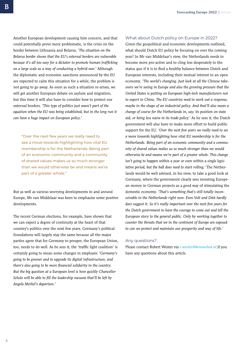Another European development causing him concern, and that could potentially prove more problematic, is the crisis on the border between Lithuania and Belarus. *'The situation on the Belarus border shows that the EU's external borders are vulnerable because it's all too easy for a dictator to promote human trafficking on a large scale as a way of conducting a hybrid war.'* Although the diplomatic and economic sanctions announced by the EU are expected to calm this situation for a while, the problem is not going to go away. As soon as such a situation re-arises, we will get another European debate on asylum and migration, but this time it will also have to consider how to protect our external borders. *'This type of politics just wasn't part of the equation when the EU was being established, but in the long run it can have a huge impact on European policy.'* 

"Over the next few years we really need to see a move towards highlighting how vital EU membership is for the Netherlands. Being part of an economic community and a community of shared values makes us so much stronger than we would otherwise be and means we're part of a greater whole."

But as well as various worrying developments in and around Europe, Mr van Middelaar was keen to emphasise some positive developments.

The recent German elections, for example, have shown that we can expect a degree of continuity at the heart of that country's politics over the next few years. Germany's political foundations will largely stay the same because all the major parties agree that for Germany to prosper, the European Union, too, needs to do well. As he sees it, the 'traffic light coalition' is certainly going to mean some changes in emphasis: *'Germany's going to be greener and to upgrade its digital infrastructure, and there's also going to be more financial solidarity in the country. But the big question at a European level is how quickly Chancellor Scholz will be able to fill the leadership vacuum that'll be left by Angela Merkel's departure.'* 

### What about Dutch policy on Europe in 2022?

Given the geopolitical and economic developments outlined, what should Dutch EU policy be focusing on over the coming year? In Mr van Middelaar's view, the Netherlands needs to become more pro-active and to cling less desperately to the status quo if it is to find a healthy balance between Dutch and European interests, including their mutual interest in an open economy. *'The world's changing. Just look at all the Chinese takeovers we're seeing in Europe and also the growing pressure that the United States is putting on European high-tech manufacturers not to export to China. The EU countries need to work out a response, maybe in the shape of an industrial policy. And that'll also mean a change of course for the Netherlands in, say, its position on state aid, or being less naive in its trade policy.'* As he sees it, the Dutch government will also have to make more effort to build public support for the EU. *'Over the next few years we really need to see a move towards highlighting how vital EU membership is for the Netherlands. Being part of an economic community and a community of shared values makes us so much stronger than we would otherwise be and means we're part of a greater whole. This change isn't going to happen within a year or even within a single legislative period, but the ball does need to start rolling.'* The Netherlands would be well advised, in his view, to take a good look at Germany, where the government clearly sees investing European money in German projects as a good way of stimulating the domestic economy. *'That's something that's still totally inconceivable in the Netherlands right now. Even Volt and D66 hardly dare suggest it. So it's really important over the next few years for the Dutch government to have the courage to come out and tell the European story to the general public. Only by working together to counter the threats that we in the continent of Europe are exposed to can we protect and maintain our prosperity and way of life.'*

#### Any questions?

Please contact Robert Wester via *[r.wester@berenschot.nl](mailto:r.wester%40berenschot.nl?subject=)* if you have any questions about this article.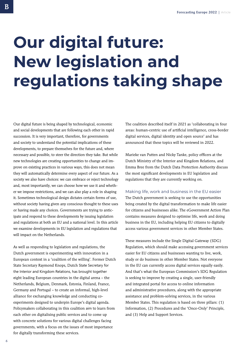# <span id="page-5-0"></span>**Our digital future: New legislation and regulations taking shape**

Our digital future is being shaped by technological, economic and social developments that are following each other in rapid succession. It is very important, therefore, for governments and society to understand the potential implications of these developments, to prepare themselves for the future and, where necessary and possible, to steer the direction they take. But while new technologies are creating opportunities to change and improve on existing practices in various ways, this does not mean they will automatically determine every aspect of our future. As a society we also have choices: we can embrace or reject technology and, most importantly, we can choose how we use it and whether we impose restrictions, and we can also play a role in shaping it. Sometimes technological design dictates certain forms of use, without society having given any conscious thought to these uses or having made any choices. Governments are trying to anticipate and respond to these developments by issuing legislation and regulations at both an EU and a national level. In this article we examine developments in EU legislation and regulations that will impact on the Netherlands.

As well as responding to legislation and regulations, the Dutch government is experimenting with innovation in a European context in a 'coalition of the willing'. Former Dutch State Secretary Raymond Knops, Dutch State Secretary for the Interior and Kingdom Relations, has brought together eight leading European countries in the digital arena – the Netherlands, Belgium, Denmark, Estonia, Finland, France, Germany and Portugal – to create an informal, high-level alliance for exchanging knowledge and conducting coexperiments designed to underpin Europe's digital agenda. Policymakers collaborating in this coalition aim to learn from each other on digitalising public services and to come up with concrete solutions for various digital challenges facing governments, with a focus on the issues of most importance for digitally transforming these services.

The coalition described itself in 2021 as 'collaborating in four areas: human-centric use of artificial intelligence, cross-border digital services, digital identity and open source' and has announced that these topics will be reviewed in 2022.

Marieke van Putten and Nicky Tanke, policy officers at the Dutch Ministry of the Interior and Kingdom Relations, and Emma Bree from the Dutch Data Protection Authority discuss the most significant developments in EU legislation and regulations that they are currently working on.

## Making life, work and business in the EU easier

The Dutch government is seeking to use the opportunities being created by the digital transformation to make life easier for citizens and businesses alike. The eGovernment Action Plan contains measures designed to optimise life, work and doing business in the EU, including helping EU citizens to digitally access various government services in other Member States.

These measures include the Single Digital Gateway (SDG) Regulation, which should make accessing government services easier for EU citizens and businesses wanting to live, work, study or do business in other Member States. Not everyone in the EU can currently access digital services equally easily. And that's what the European Commission's SDG Regulation is seeking to improve by creating a single, user-friendly and integrated portal for access to online information and administrative procedures, along with the appropriate assistance and problem-solving services, in the various Member States. This regulation is based on three pillars: (1) Information, (2) Procedures and the 'Once-Only' Principle, and (3) Help and Support Services.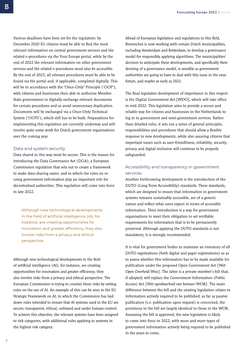Various deadlines have been set for the regulation: by December 2020 EU citizens must be able to find the most relevant information on central government services and the related e-procedures via the Your Europe portal, while by the end of 2022 the relevant information on other government services and the related e-procedures must also be accessible. By the end of 2023, all relevant procedures must be able to be found via the portal and, if applicable, completed digitally. This will be in accordance with the 'Once-Only' Principle ('OOP'), with citizens and businesses then able to authorise Member State governments to digitally exchange relevant documents for certain procedures and so avoid unnecessary duplication. Documents will be exchanged via a Once-Only Technical System ('OOTS'), which still has to be built. Preparations for implementing this regulation are currently underway and will involve quite some work for Dutch government organisations over the coming year.

### Data and system security

Data shared in this way must be secure. This is the reason for introducing the Data Governance Act (DGA), a European Commission regulation that sets out to create a framework to make data-sharing easier, and in which the rules on reusing government information play an important role for decentralised authorities. This regulation will come into force in late 2022.

Although new technological developments in the field of artificial intelligence (AI), for instance, are creating opportunities for innovation and greater efficiency, they also involve risks from a privacy and ethical perspective.

Although new technological developments in the field of artificial intelligence (AI), for instance, are creating opportunities for innovation and greater efficiency, they also involve risks from a privacy and ethical perspective. The European Commission is trying to counter these risks by setting rules on the use of AI. An example of this can be seen in the EU Strategic Framework on AI, in which the Commission has laid down rules intended to ensure that AI systems used in the EU are secure, transparent, ethical, unbiased and under human control. To achieve this objective, the relevant systems have been assigned to risk categories, with additional rules applying to systems in the highest risk category.

Ahead of European legislation and regulations in this field, Berenschot is now working with certain Dutch municipalities, including Amsterdam and Rotterdam, to develop a governance model for responsibly applying algorithms. The municipalities' decision to anticipate these developments, and specifically their devising of a governance model, is sensible as government authorities are going to have to deal with this issue in the near future, and maybe as early as 2022.

The final legislative development of importance in this respect is the Digital Government Act [WDO], which will take effect in mid-2022. This legislation aims to provide a secure and reliable way for citizens and businesses in the Netherlands to log in to government and semi-government services. Rather than detailed rules, it sets out a series of general principles, responsibilities and procedures that should allow a flexible response to new developments, while also assuring citizens that important issues such as user-friendliness, reliability, security, privacy and digital inclusion will continue to be properly safeguarded.

## Accessibility and transparency in government services

Another forthcoming development is the introduction of the DUTO (Long-Term Accessibility) standards. These standards, which are designed to ensure that information in government systems remains sustainably accessible, are of a generic nature and reflect what users expect in terms of accessible information. Their introduction is a way for government organisations to meet their obligation to set verifiable requirements for information that is to be permanently preserved. Although applying the DUTO standards is not mandatory, it is strongly recommended.

It is vital for government bodies to maintain an inventory of all DUTO registrations (both digital and paper registrations) so as to assess whether this information has to be made available for publication under the proposed Open Government Act *[Wet Open Overheid/Woo]*. The latter is a private member's bill that, if adopted, will replace the Government Information (Public Access) Act *[Wet openbaarheid van bestuur/WOB]*. The main difference between the bill and the existing legislation relates to information actively required to be published; as far as passive publication (i.e. publication upon request) is concerned, the provisions in the bill are largely identical to those in the WOB. Assuming the bill is approved, the new legislation is likely to come into force in 2022, with more and more types of government information actively being required to be published in the years to come.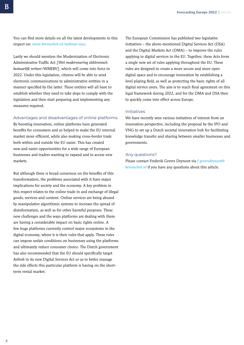You can find more details on all the latest developments in this respect on: *[www.berenschot.nl/webinar-woo](http://www.berenschot.nl/webinar-woo)*.

Lastly we should mention the Modernisation of Electronic Administrative Traffic Act *[Wet modernisering elektronisch bestuurlijk verkeer/WMEBV]*, which will come into force in 2022. Under this legislation, citizens will be able to send electronic communications to administrative entities in a manner specified by the latter. These entities will all have to establish whether they need to take steps to comply with the legislation and then start preparing and implementing any measures required.

## Advantages and disadvantages of online platforms

By boosting innovation, online platforms have generated benefits for consumers and so helped to make the EU internal market more efficient, while also making cross-border trade both within and outside the EU easier. This has created new and easier opportunities for a wide range of European businesses and traders wanting to expand and to access new markets.

But although there is broad consensus on the benefits of this transformation, the problems associated with it have major implications for society and the economy. A key problem in this respect relates to the online trade in and exchange of illegal goods, services and content. Online services are being abused by manipulative algorithmic systems to increase the spread of disinformation, as well as for other harmful purposes. These new challenges and the ways platforms are dealing with them are having a considerable impact on basic rights online. A few huge platforms currently control major ecosystems in the digital economy, where it is their rules that apply. These rules can impose unfair conditions on businesses using the platforms and ultimately reduce consumer choice. The Dutch government has also recommended that the EU should specifically target Airbnb in its new Digital Services Act so as to better manage the side effects this particular platform is having on the shortterm rental market.

The European Commission has published two legislative initiatives – the above-mentioned Digital Services Act (DSA) and the Digital Markets Act (DMA) – to improve the rules applying to digital services in the EU. Together, these Acts form a single new set of rules applying throughout the EU. These rules are designed to create a more secure and more open digital space and to encourage innovation by establishing a level playing field, as well as protecting the basic rights of all digital service users. The aim is to reach final agreement on this legal framework during 2022, and for the DMA and DSA then to quickly come into effect across Europe.

### Initiatives

We have recently seen various initiatives of interest from an innovation perspective, including the proposal by the IPO and VNG to set up a Dutch societal innovation hub for facilitating knowledge transfer and sharing between smaller businesses and governments.

### Any questions?

Please contact Frederik Gevers Deynoot via *[f.geversdeynoot@](mailto:f.geversdeynoot%40berenschot.nl?subject=) [berenschot.nl](mailto:f.geversdeynoot%40berenschot.nl?subject=)* if you have any questions about this article.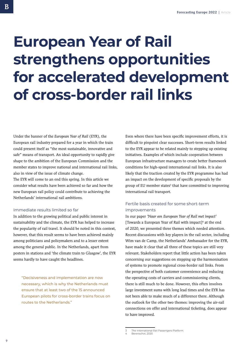## <span id="page-8-0"></span>**European Year of Rail strengthens opportunities for accelerated development of cross-border rail links**

Under the banner of the *European Year of Rail* (EYR), the European rail industry prepared for a year in which the train could present itself as "the most sustainable, innovative and safe" means of transport. An ideal opportunity to rapidly give shape to the ambition of the European Commission and the member states to improve national and international rail links, also in view of the issue of climate change.

The EYR will come to an end this spring. In this article we consider what results have been achieved so far and how the new European rail policy could contribute to achieving the Netherlands' international rail ambitions.

## Immediate results limited so far

In addition to the growing political and public interest in sustainability and the climate, the EYR has helped to increase the popularity of rail travel. It should be noted in this context, however, that this result seems to have been achieved mainly among politicians and policymakers and to a lesser extent among the general public. In the Netherlands, apart from posters in stations and 'the climate train to Glasgow', the EYR seems hardly to have caught the headlines.

"Decisiveness and implementation are now necessary, which is why the Netherlands must ensure that at least two of the 15 announced European pilots for cross-border trains focus on routes to the Netherlands."

Even where there have been specific improvement efforts, it is difficult to pinpoint clear successes. Short-term results linked to the EYR appear to be related mainly to stepping up existing initiatives. Examples of which include cooperation between European infrastructure managers to create better framework conditions for high-speed international rail links. It is also likely that the traction created by the EYR programme has had an impact on the development of specific proposals by the group of EU member states<sup>3</sup> that have committed to improving international rail transport.

## Fertile basis created for some short-term improvements

In our paper *'Naar een European Year of Rail met impact'* [Towards a European Year of Rail with impact]<sup>4</sup> at the end of 2020, we presented three themes which needed attention. Recent discussions with key players in the rail sector, including Wim van de Camp, the Netherlands' Ambassador for the EYR, have made it clear that all three of these topics are still very relevant. Stakeholders report that little action has been taken concerning our suggestions on stepping up the harmonisation of systems to promote regional cross-border rail links. From the perspective of both customer convenience and reducing the operating costs of carriers and commissioning clients, there is still much to be done. However, this often involves large investment sums with long lead times and the EYR has not been able to make much of a difference there. Although the outlook for the other two themes: improving the air-rail connections on offer and international ticketing, does appear to have improved.

<sup>3</sup> The International Rail Passengers Platform.

Berenschot, 2020.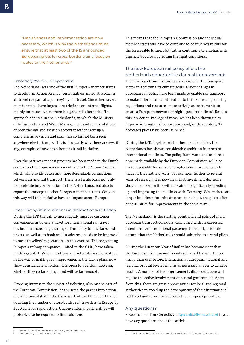"Decisiveness and implementation are now necessary, which is why the Netherlands must ensure that at least two of the 15 announced European pilots for cross-border trains focus on routes to the Netherlands."

#### *Exporting the air-rail approach*

The Netherlands was one of the first European member states to develop an Action Agenda<sup>5</sup> on initiatives aimed at replacing air travel (or part of a journey) by rail travel. Since then several member states have imposed restrictions on internal flights, mainly on routes where there is a good rail alternative. The approach adopted in the Netherlands, in which the Ministry of Infrastructure and Water Management and representatives of both the rail and aviation sectors together drew up a comprehensive vision and plan, has so far not been seen anywhere else in Europe. This is also partly why there are few, if any, examples of new cross-border air-rail initiatives.

Over the past year modest progress has been made in the Dutch context on the improvements identified in the Action Agenda which will provide better and more dependable connections between air and rail transport. There is a fertile basis not only to accelerate implementation in the Netherlands, but also to export the concept to other European member states. Only in this way will this initiative have an impact across Europe.

#### *Speeding up improvements in international ticketing*

During the EYR the call to more rapidly improve customer convenience in buying a ticket for international rail travel has become increasingly stronger. The ability to find fares and tickets, as well as to book well in advance, needs to be improved to meet travellers' expectations in this context. The cooperating European railway companies, united in the CER $6$ , have taken up this gauntlet. Where positions and interests have long stood in the way of making real improvements, the CER's plans now show considerable ambition. It is open to question, however, whether they go far enough and will be fast enough.

Growing interest in the subject of ticketing, also on the part of the European Commission, has spurred the parties into action. The ambition stated in the framework of the EU Green Deal of doubling the number of cross-border rail travellers in Europe by 2030 calls for rapid action. Unconventional partnerships will probably also be required to find solutions.

This means that the European Commission and individual member states will have to continue to be involved in this for the foreseeable future. Not just in continuing to emphasise its urgency, but also in creating the right conditions.

## The new European rail policy offers the Netherlands opportunities for real improvements

The European Commission sees a key role for the transport sector in achieving its climate goals. Major changes in European rail policy have been made to enable rail transport to make a significant contribution to this. For example, using regulations and resources more actively as instruments to create a European network of high- speed train links<sup>7</sup>. Besides this, an Action Package of measures has been drawn up to improve international connections and, in this context, 15 dedicated pilots have been launched.

During the EYR, together with other member states, the Netherlands has shown considerable ambition in terms of international rail links. The policy framework and resources now made available by the European Commission will also make it possible for suitable long-term improvements to be made in the next few years. For example, further to several years of research, it is now clear that investment decisions should be taken in line with the aim of significantly speeding up and improving the rail links with Germany. Where there are longer lead times for infrastructure to be built, the pilots offer opportunities for improvements in the short term.

The Netherlands is the starting point and end point of many European transport corridors. Combined with its expressed intentions for international passenger transport, it is only natural that the Netherlands should subscribe to several pilots.

During the European Year of Rail it has become clear that the European Commission is embracing rail transport more firmly than ever before. Interaction at European, national and regional or local levels remains as necessary as ever to achieve results. A number of the improvements discussed above will require the active involvement of central government. Apart from this, there are great opportunities for local and regional authorities to speed up the development of their international rail travel ambitions, in line with the European priorities.

### Any questions?

Please contact Tim Geraedts via *[t.geraedts@berenschot.nl](mailto:t.geraedts%40berenschot.nl?subject=)* if you have any questions about this article.

<sup>5</sup> Action Agenda for train and air travel, Berenschot 2020. 6 Community of European Railways

Revision of the TEN-T policy and its associated CEF funding instrument.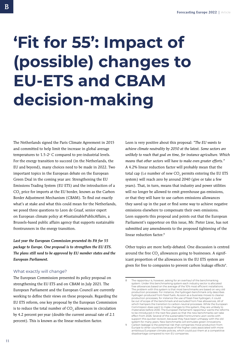# <span id="page-10-0"></span>**'Fit for 55': Impact of (possible) changes to EU-ETS and CBAM decision-making**

The Netherlands signed the Paris Climate Agreement in 2015 and committed to help limit the increase in global average temperatures to  $1.5$ -2 $^{\circ}$  C compared to pre-industrial levels. For the energy transition to succeed (in the Netherlands, the EU and beyond), many choices need to be made in 2022. Two important topics in the European debate on the European Green Deal in the coming year are: Strengthening the EU Emissions Trading System (EU ETS) and the introduction of a CO<sub>2</sub> price for imports at the EU border, known as the Carbon Border Adjustment Mechanism (CBAM). To find out exactly what's at stake and what this could mean for the Netherlands, we posed three questions to Leon de Graaf, senior expert on European climate policy at #SustainablePublicAffairs, a Brussels-based public affairs agency that supports sustainable frontrunners in the energy transition.

*Last year the European Commission presented its Fit for 55 package to Europe. One proposal is to strengthen the EU ETS. The plans still need to be approved by EU member states and the European Parliament.* 

## What exactly will change?

The European Commission presented its policy proposal on strengthening the EU ETS and on CBAM in July 2021. The European Parliament and the European Council are currently working to define their views on these proposals. Regarding the EU ETS reform, one key proposal by the European Commission is to reduce the total number of CO<sub>2</sub> allowances in circulation by 4.2 percent per year (double the current annual rate of 2.1 percent). This is known as the linear reduction factor.

Leon is very positive about this proposal: *"The EU wants to achieve climate neutrality by 2050 at the latest. Some sectors are unlikely to reach that goal on time, for instance agriculture. Which means that other sectors will have to make even greater efforts."* A 4.2% linear reduction factor will probably mean that the total cap (i.e number of new CO<sub>2</sub> permits entering the EU ETS system) will reach zero by around 2040 (give or take a few years). That, in turn, means that industry and power utilities will no longer be allowed to emit greenhouse gas emissions, or that they will have to use carbon emissions allowances they saved up in the past or find some way to achieve negative emissions elsewhere to compensate their own emissions. Leon supports this proposal and points out that the European Parliament's rapporteur on this issue, Mr. Pieter Liese, has not submitted any amendments to the proposed tightening of the linear reduction factor.<sup>8</sup>

Other topics are more hotly-debated. One discussion is centred around the free CO<sub>2</sub> allowances going to businesses. A significant proportion of the allowances in the EU ETS system are given for free to companies to prevent carbon leakage effects<sup>9</sup>.

The rapporteur is, however, asking for an overhaul of the benchmarking system. Under this benchmarking system each industry sector is allocated free allowances based on the average of the 10% most efficient installations. The problem with this system is that most benchmarks are based on very old production processes: For instance, the hydrogen benchmark only describes hydrogen produced from fossil fuels. As soon as a business moves to cleaner production processes, for instance the use of fossil-free hydrogen, it could be out of scope of the benchmark and excluded from free allowances. All of which hampers the transition to carbon-neutral processes. While the European Commission does want to make changes to this system, they are unlikely to materialize before 2030. The European Parliament rapporteur wants the reforms to be introduced in the next few years so that the new benchmarks can take effect from 2026. Several of the sustainable frontrunners Leon works with support this quicker revision, because they have been unhappy with the old system for many years. New benchmarks will stimulate green innovati

<sup>9</sup> Carbon leakage is the potential risk that companies move production from Europe to other countries because of the higher costs associated with more ambitious European climate policies, which could put them at a competitive disadvantage compared to non-EU companies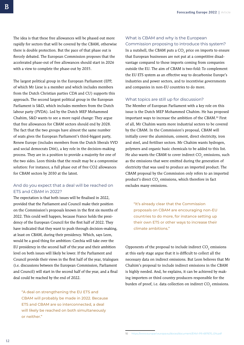The idea is that these free allowances will be phased out more rapidly for sectors that will be covered by the CBAM, otherwise there is double protection. But the pace of that phase out is fiercely debated. The European Commission proposes that the accelerated phase-out of free allowances should start in 2026 with a view to complete the phase-out by 2035.

The largest political group in the European Parliament (EPP, of which Mr Liese is a member and which includes members from the Dutch Christian parties CDA and CU) supports this approach. The second largest political group in the European Parliament is S&D, which includes members from the Dutch labour party (PVDA). Led by the Dutch MEP Mohammed Chahim, S&D wants to see a more rapid change: They argue that free allowances for CBAM sectors should end by 2028. The fact that the two groups have almost the same number of seats gives the European Parliament's third-biggest party, Renew Europe (includes members from the Dutch liberals VVD and social democrats D66), a key role in the decision-making process. They are in a position to provide a majority for one of the two sides. Leon thinks that the result may be a compromise solution: For instance, a full phase out of free CO2 allowances for CBAM sectors by 2030 at the latest.

## And do you expect that a deal will be reached on ETS and CBAM in 2022?

The expectation is that both issues will be finalised in 2022, provided that the Parliament and Council make their position on the Commission's proposals known in the first six months of 2022. This could well happen, because France holds the presidency of the European Council for the first half of 2022. They have indicated that they want to push through decision-making, at least on CBAM, during their presidency. Which, says Leon, would be a good thing for ambition: Czechia will take over the EU presidency in the second half of the year and their ambition level on both issues will likely be lower. If the Parliament and Council provide their views in the first half of the year, trialogues (i.e. discussions between the European Commission, Parliament and Council) will start in the second half of the year, and a final deal could be reached by the end of 2022.

"A deal on strengthening the EU ETS and CBAM will probably be made in 2022. Because ETS and CBAM are so interconnected, a deal will likely be reached on both simultaneously or neither."

## What is CBAM and why is the European Commission proposing to introduce this system?

In a nutshell, the CBAM puts a CO<sub>2</sub> price on imports to ensure that European businesses are not put at a competitive disadvantage compared to those imports coming from companies outside the EU. The aim of CBAM is two-fold: To complement the EU ETS system as an effective way to decarbonise Europe's industries and power sectors, and to incentivise governments and companies in non-EU countries to do more.

### What topics are still up for discussion?

The Member of European Parliament with a key role on this issue is the Dutch MEP Mohammed Chahim. He has proposed important ways to increase the ambition of the CBAM.<sup>10</sup> First of all, Mr Chahim wants more industrial sectors to be covered by the CBAM. In the Commission's proposal, CBAM will initially cover the aluminium, cement, direct electricity, iron and steel, and fertiliser sectors. Mr Chahim wants hydrogen, polymers and organic basic chemicals to be added to this list. He also wants the CBAM to cover indirect  $CO<sub>2</sub>$  emissions, such as the emissions that were emitted during the generation of electricity that was used to produce an imported product. The CBAM proposal by the Commission only refers to an imported product's direct CO<sub>2</sub> emissions, which therefore in fact excludes many emissions.

"It's already clear that the Commission proposals on CBAM are encouraging non-EU countries to do more, for instance setting up their own ETS or other ways to increase their climate ambitions."

Opponents of the proposal to include indirect CO<sub>2</sub> emissions at this early stage argue that it is difficult to collect all the necessary data on indirect emissions. But Leon believes that Mr Chahim's proposal to include indirect emissions in the CBAM is highly needed. And, he explains, it can be achieved by making importers or third country producers responsible for the burden of proof, i.e. data collection on indirect CO<sub>2</sub> emissions.

10 [https://www.europarl.europa.eu/doceo/document/ENVI-PR-697670\\_EN.pdf](https://www.europarl.europa.eu/doceo/document/ENVI-PR-697670_EN.pdf)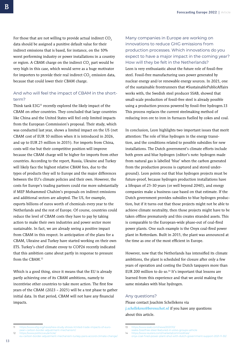For those that are not willing to provide actual indirect CO<sub>2</sub> data should be assigned a punitive default value for their indirect emissions that is based, for instance, on the 10% worst performing industry or power installations in a country or region. A CBAM charge on the indirect CO<sub>2</sub> part would be very high in this case, which would serve as a huge motivator for importers to provide their real indirect CO<sub>2</sub> emission data, because that could lower their CBAM charge.

## And who will feel the impact of CBAM in the shortterm?

Think tank E3G<sup>11</sup> recently explored the likely impact of the CBAM on other countries. They concluded that large countries like China and the United States will feel only limited impacts from the European Commission's proposal. Their study, which was conducted last year, shows a limited impact on the US (net CBAM cost of EUR 10 million when it is introduced in 2026, and up to EUR 25 million in 2035). For imports from China, costs will rise but their competitive position will improve because the CBAM charge will be higher for imports from other countries. According to the report, Russia, Ukraine and Turkey will likely face the highest relative CBAM fees, due to the types of products they sell to Europe and the major differences between the EU's climate policies and their own. However, the costs for Europe's trading partners could rise more substantially if MEP Mohammed Chahim's proposals on indirect emissions and additional sectors are adopted. The US, for example, exports billions of euros worth of chemicals every year to the Netherlands and the rest of Europe. Of course, countries could reduce the level of CBAM costs they have to pay by taking action to make their own industries and power sector more sustainable. In fact, we are already seeing a positive impact from CBAM in this respect. In anticipation of the plans for a CBAM, Ukraine and Turkey have started working on their own ETS. Turkey's chief climate envoy to COP26 recently indicated that this ambition came about partly in response to pressure from the CBAM<sup>12</sup>

Which is a good thing, since it means that the EU is already partly achieving one of its CBAM ambitions, namely to incentivise other countries to take more action. The first few years of the CBAM (2023 – 2025) will be a test phase to gather initial data. In that period, CBAM will not have any financial impacts.

Many companies in Europe are working on innovations to reduce GHG emissions from production processes. Which innovations do you expect to have a major impact in the coming year? How will they be felt in the Netherlands? Leon is very enthusiastic about the future role of fossil-free steel. Fossil-free manufacturing uses power generated by nuclear energy and/or renewable energy sources. In 2021, one of the sustainable frontrunners that #SustainablePublicAffairs works with, the Swedish steel producer SSAB, showed that small-scale production of fossil-free steel is already possible using a production process powered by fossil-free hydrogen.13 This process replaces the current steelmaking method of reducing iron ore to iron in furnaces fuelled by cokes and coal.

In conclusion, Leon highlights two important issues that merit attention: The role of blue hydrogen in the energy transition, and the conditions related to possible subsidies for new installations. The Dutch government's climate efforts include both green and blue hydrogen (editor's note: hydrogen made from natural gas is labelled 'blue' when the carbon generated from the production process is captured and stored underground). Leon points out that blue hydrogen projects must be future-proof, because hydrogen production installations have a lifespan of 25-30 years (or well beyond 2040), and energy companies make a business case based on that estimate. If the Dutch government provides subsidies to blue hydrogen production, but if it turns out that those projects might not be able to achieve climate neutrality, then those projects might have to be taken offline prematurely and this creates stranded assets. This is comparable to the European-wide phase-out of coal-fired power plants. One such example is the Onyx coal-fired power plant in Rotterdam. Built in 2015, the plant was announced at the time as one of the most efficient in Europe.

However, now that the Netherlands has intensified its climate ambitions, the plant is scheduled for closure after only a few years of operation and costing the Dutch taxpayers more than EUR 200 million to do so.<sup>14</sup> It's important that lessons are learned from this experience and that we avoid making the same mistakes with blue hydrogen.

#### Any questions?

Please contact Joachim Schellekens via *[j.schellekens@berenschot.nl](mailto:j.schellekens%40berenschot.nl?subject=)* if you have any questions about this article.

<sup>11</sup> [https://www.e3g.org/news/new-study-shows-limited-trade-impacts-of-euro](about:blank)[pean-carbon-border-adjustment-mechanism/](about:blank)

<sup>12</sup> [https://www.politico.eu/article/](https://www.politico.eu/article/eu-carbon-border-adjustment-mechanism-turkey-paris-accord-climate-change/) [eu-carbon-border-adjustment-mechanism-turkey-paris-accord-climate-change/](https://www.politico.eu/article/eu-carbon-border-adjustment-mechanism-turkey-paris-accord-climate-change/)

<sup>13</sup> [https://www.ssab.com/news/2021/10/](about:blank)

[ssabs-fossilfree-steel-featured-in-volvo-groups-vehicle](about:blank)

<sup>14</sup> [https://www.reuters.com/markets/commodities/](https://www.reuters.com/markets/commodities/onyx-coal-fired-power-plant-shut-with-dutch-government-support-2021-11-30/) [onyx-coal-fired-power-plant-shut-with-dutch-government-support-2021-11-30/](https://www.reuters.com/markets/commodities/onyx-coal-fired-power-plant-shut-with-dutch-government-support-2021-11-30/)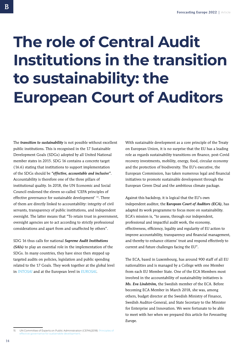## <span id="page-13-0"></span>**The role of Central Audit Institutions in the transition to sustainability: the European Court of Auditors**

The *transition to sustainability* is not possible without excellent public institutions. This is recognised in the 17 Sustainable Development Goals (SDGs) adopted by all United National member states in 2015. SDG 16 contains a concrete target (16.6) stating that institutions to support implementation of the SDGs should be *"effective, accountable and inclusive"*. Accountability is therefore one of the three pillars of institutional quality. In 2018, the UN Economic and Social Council endorsed the eleven so-called 'CEPA principles of effective governance for sustainable development' 15. Three of them are directly linked to accountability: integrity of civil servants, transparency of public institutions, and independent oversight. The latter means that "To retain trust in government, oversight agencies are to act according to strictly professional considerations and apart from and unaffected by others".

SDG 16 thus calls for national *Supreme Audit Institutions (SAIs)* to play an essential role in the implementation of the SDGs. In many countries, they have since then stepped up targeted audits on policies, legislation and public spending related to the 17 Goals. They work together at the global level in *[INTOSAI](about:blank)* and at the European level in *[EUROSA](about:blank)I*.

With sustainable development as a core principle of the Treaty on European Union, it is no surprise that the EU has a leading role as regards sustainability transitions on finance, post-Covid recovery investments, mobility, energy, food, circular economy and the protection of biodiversity. The EU's executive, the European Commission, has taken numerous legal and financial initiatives to promote sustainable development through the European Green Deal and the ambitious climate package.

Against this backdrop, it is logical that the EU's own independent auditor, the **E***uropean Court of Auditors (ECA)*, has adapted its work programme to focus more on sustainability. ECA's mission is, "to assess, through our independent, professional and impactful audit work, the economy, effectiveness, efficiency, legality and regularity of EU action to improve accountability, transparency and financial management, and thereby to enhance citizens' trust and respond effectively to current and future challenges facing the EU".

The ECA, based in Luxembourg, has around 900 staff of all EU nationalities and is managed by a College with one Member from each EU Member State. One of the ECA Members most involved in the accountability of sustainability initiatives is *Ms. Eva Lindström,* the Swedish member of the ECA. Before becoming ECA Member in March 2018, she was, among others, budget director at the Swedish Ministry of Finance, Swedish Auditor-General, and State Secretary to the Minister for Enterprise and Innovation. We were fortunate to be able to meet with her when we prepared this article for *Forecasting Europe*.

<sup>15</sup> UN Committee of Experts on Public Administration (CEPA)(2018): [Principles of](about:blank)  nance for sustainable development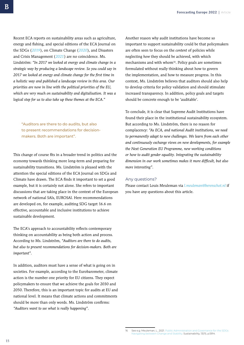Recent ECA reports on sustainability areas such as agriculture, energy and fishing, and special editions of the ECA Journal on the SDGs (*[2019](about:blank)*), on Climate Change (*[2020](about:blank)*), and Disasters and Crisis Management (*[2021](about:blank)*) are no coincidence. Ms. Lindström: *"In 2017 we looked at energy and climate change in a strategic way by producing a landscape review. So you could say in 2017 we looked at energy and climate change for the first time in a holistic way and published a landscape review in this area. Our priorities are now in line with the political priorities of the EU, which are very much on sustainability and digitalisation. It was a logical step for us to also take up these themes at the ECA."*

"Auditors are there to do audits, but also to present recommendations for decisionmakers. Both are important".

This change of course fits in a broader trend in politics and the economy towards thinking more long-term and preparing for sustainability transitions. Ms. Lindström is pleased with the attention the special editions of the ECA Journal on SDGs and Climate have drawn. The ECA finds it important to set a good example, but it is certainly not alone. She refers to important discussions that are taking place in the context of the European network of national SAIs, EUROSAI. Here recommendations are developed on, for example, auditing SDG target 16.6 on effective, accountable and inclusive institutions to achieve sustainable development.

The ECA's approach to accountability reflects contemporary thinking on accountability as being both action and process. According to Ms. Lindström, *"Auditors are there to do audits, but also to present recommendations for decision-makers. Both are important".*

In addition, auditors must have a sense of what is going on in societies. For example, according to the Eurobarometer, climate action is the number one priority for EU citizens. They expect policymakers to ensure that we achieve the goals for 2030 and 2050. Therefore, this is an important topic for audits at EU and national level. It means that climate actions and commitments should be more than only words. Ms. Lindström confirms: *"Auditors want to see what is really happening".*

Another reason why audit institutions have become so important to support sustainability could be that policymakers are often seen to focus on the *content* of policies while neglecting *how* they should be achieved, with which mechanisms and with whom<sup>16</sup>. Policy goals are sometimes formulated without really thinking about how to govern the implementation, and how to measure progress. In this context, Ms. Lindström believes that auditors should also help to develop criteria for policy validation and should stimulate increased transparency. In addition, policy goals and targets should be concrete enough to be 'auditable'.

To conclude, it is clear that Supreme Audit Institutions have found their place in the institutional sustainability ecosystem. But according to Ms. Lindström, there is no reason for complacency: *"As ECA, and national Audit institutions, we need to permanently adapt to new challenges. We learn from each other and continuously exchange views on new developments, for example the Next Generation EU Programme, new working conditions or how to audit gender equality. Integrating the sustainability dimension in our work sometimes makes it more difficult, but also more interesting".*

### Any questions?

Please contact Louis Meuleman via *[l.meuleman@berenschot.nl](mailto:l.meuleman%40berenschot.nl?subject=)* if you have any questions about this article.

<sup>16</sup> See e.g. Meuleman, L., 2021. Public Administration and Governance for the SDGs [Navigating between Change and Stability](about:blank). Sustainability, 13(11), p.5914.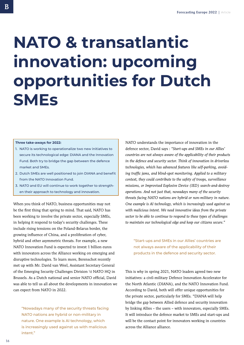## <span id="page-15-0"></span>**NATO & transatlantic innovation: upcoming opportunities for Dutch SMEs**

#### **Three take-aways for 2022:**

- 1. NATO is working to operationalize two new initiatives to secure its technological edge: DIANA and the Innovation Fund. Both try to bridge the gap between the defence market and SMEs.
- 2. Dutch SMEs are well positioned to join DIANA and benefit from the NATO Innovation Fund.
- 3. NATO and EU will continue to work together to strengthen their approach to technology and innovation.

When you think of NATO, business opportunities may not be the first thing that spring to mind. That said, NATO has been working to involve the private sector, especially SMEs, in helping it respond to today's security challenges. These include rising tensions on the Poland-Belarus border, the growing influence of China, and a proliferation of cyber, hybrid and other asymmetric threats. For example, a new NATO Innovation Fund is expected to invest 1 billion euros with innovators across the Alliance working on emerging and disruptive technologies. To learn more, Berenschot recently met up with Mr. David van Weel, Assistant Secretary General of the Emerging Security Challenges Division \t NATO HQ in Brussels. As a Dutch national and senior NATO official, David was able to tell us all about the developments in innovation we can expect from NATO in 2022.

"Nowadays many of the security threats facing NATO nations are hybrid or non-military in nature. One example is AI technology, which is increasingly used against us with malicious intent."

NATO understands the importance of innovation in the defence sector, David says : *"Start-ups and SMEs in our Allies' countries are not always aware of the applicability of their products in the defence and security sector. Think of innovation in driverless technologies, which has advanced features like self-parking, avoiding traffic jams, and blind-spot monitoring. Applied to a military context, they could contribute to the safety of troops, surveillance missions, or Improvised Explosive Device (IED) search-and-destroy operations. And not just that, nowadays many of the security threats facing NATO nations are hybrid or non-military in nature. One example is AI technology, which is increasingly used against us with malicious intent. We need innovative ideas from the private sector to be able to continue to respond to these types of challenges to maintain our technological edge and keep our citizens secure."* 

"Start-ups and SMEs in our Allies' countries are not always aware of the applicability of their products in the defence and security sector.

This is why in spring 2021, NATO leaders agreed two new initiatives: a civil-military Defence Innovation Accelerator for the North Atlantic (DIANA), and the NATO Innovation Fund. According to David, both will offer unique opportunities for the private sector, particularly for SMEs. "DIANA will help bridge the gap between Allied defence and security innovation by linking Allies – the users – with innovators, especially SMEs. It will introduce the defence market to SMEs and start-ups and will be the contact point for innovators working in countries across the Alliance alliance.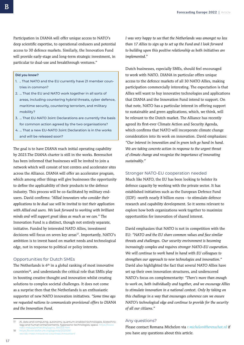Participation in DIANA will offer unique access to NATO's deep scientific expertise, to operational endusers and potential access to 30 defence markets. Similarly, the Innovation Fund will provide early-stage and long-term strategic investment, in particular to dual-use and breakthrough ventures."

#### **Did you know?**

- 1. .. That NATO and the EU currently have 21 member countries in common?
- 2. … That the EU and NATO work together in all sorts of areas, including countering hybrid threats, cyber defence, maritime security, countering terrorism, and military mobility?
- 3. … That EU-NATO Joint Declarations are currently the basis for common action agreed by the two organisations?
- 4. … That a new EU-NATO Joint Declaration is in the works and will be released soon?

The goal is to have DIANA reach initial operating capability by 2023.The DIANA charter is still in the works. Berenschot has been informed that businesses will be invited to join a network which will consist of test centres and accelerator sites across the Alliance. DIANA will offer an accelerator program, which among other things will give businesses the opportunity to define the applicability of their products to the defence industry. This process will be co-facilitated by military endusers. David confirms: *"Allied innovators who consider their applications to be dual use will be invited to test their application with Allied end users. We look forward to working with brilliant minds and will support great ideas as much as we can."* The Innovation Fund is a distinct, though not entirely separate, initiative. Funded by interested NATO Allies, investment decisions will focus on seven key areas<sup>17</sup>. Importantly, NATO's ambition is to invest based on market needs and technological edge, not in response to political or policy interests.

### Opportunities for Dutch SMEs

The Netherlands is  $6<sup>th</sup>$  in a global ranking of most innovative countries18, and understands the critical role that SMEs play in boosting creative thought and innovation whilst creating solutions to complex societal challenges. It does not come as a surprise then that the Netherlands is an enthusiastic supporter of new NATO innovation initiatives. *"Some time ago we requested nations to communicate provisional offers to DIANA and the Innovation Fund.*

18 [https://www.weforum.org/agenda/2021/09/](https://www.weforum.org/agenda/2021/09/worlds-most-innovative-countries-innovation/) [worlds-most-innovative-countries-innovation/](https://www.weforum.org/agenda/2021/09/worlds-most-innovative-countries-innovation/) *I was very happy to see that the Netherlands was amongst no less than 17 Allies to sign up to set up the Fund and I look forward to building upon this positive relationship as both initiatives are implemented."* 

Dutch businesses, especially SMEs, should feel encouraged to work with NATO. DIANA in particular offers unique access to the defence markets of all 30 NATO Allies, making participation commercially interesting. The expectation is that Allies will want to buy innovative technologies and applications that DIANA and the Innovation Fund intend to support. On that note, NATO has a particular interest in offering support to sustainable and green applications, which, we think, will be relevant to the Dutch market. The Alliance has recently agreed its first-ever Climate Action and Security Agenda, which confirms that NATO will incorporate climate change consideration into its work on innovation. David emphasizes: *"Our interest in innovation and in green tech go hand in hand. We are taking concrete action in response to the urgent threat of climate change and recognize the importance of innovating sustainably."*

### Stronger NATO-EU cooperation needed

Much like NATO, the EU has been looking to bolster its defence capacity by working with the private sector. It has established initiatives such as the European Defence Fund (EDF) -worth nearly 8 billion euros - to stimulate defence research and capability development. So it seems relevant to explore how both organizations work together to maximize opportunities for innovation of shared interest.

David emphasizes that NATO is not in competition with the EU: *"NATO and the EU share common values and face similar threats and challenges. Our security environment is becoming increasingly complex and requires stronger NATO-EU cooperation. We will continue to work hand in hand with EU colleagues to strengthen our approach to new technologies and innovation."*  David also highlighted the fact that several NATO Allies have set up their own innovation structures, and underscored NATO's focus on complementarity: *"There's more than enough to work on, both individually and together, and we encourage Allies to stimulate innovation in a national context. Only by taking on this challenge in a way that encourages coherence can we ensure NATO's technological edge and continue to provide for the security of all our citizens."*

### Any questions?

Please contact Romana Michelon via *[r.michelon@berenschot.nl](mailto:r.michelon%40berenschot.nl?subject=)* if you have any questions about this article.

AI, data and computing, autonomy, quantum-enabled technologies, biotechnology and human enhancements, hypersonic technologies, space. https://w [nato.int/cps/en/natohq/topics\\_184303.htm](https://www.nato.int/cps/en/natohq/topics_184303.htm)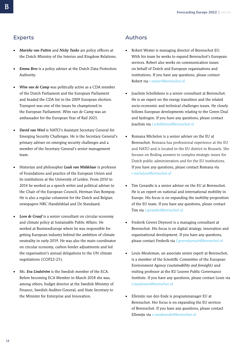## <span id="page-17-0"></span>Experts

- *Marieke van Putten* and *Nicky Tanke* are policy officers at the Dutch Ministry of the Interior and Kingdom Relations.
- *Emma Bree* is a policy adviser at the Dutch Data Protection Authority.
- *Wim van de Camp* was politically active as a CDA member of the Dutch Parliament and the European Parliament and headed the CDA list in the 2009 European election. Transport was one of the issues he championed in the European Parliament. Wim van de Camp was an ambassador for the European Year of Rail 2021.
- *David van Weel* is NATO's Assistant Secretary General for Emerging Security Challenges. He is the Secretary General's primary adviser on emerging security challenges and a member of the Secretary General's senior management team.
- Historian and philosopher *Luuk van Middelaar* is professor of Foundations and practice of the European Union and its institutions at the University of Leiden. From 2010 to 2014 he worked as a speech writer and political adviser to the Chair of the European Council, Herman Van Rompuy. He is also a regular columnist for the Dutch and Belgian newspapers NRC Handelsblad and De Standaard.
- Leon de Graaf is a senior consultant on circular economy and climate policy at Sustainable Public Affairs. He worked at BusinessEurope where he was responsible for getting European industry behind the ambition of climate neutrality in early 2019. He was also the main coordinator on circular economy, carbon border adjustments and led the organisation's annual delegations to the UN climate negotiations (COP22-25).
- Ms. *Eva Lindström* is the Swedish member of the ECA. Before becoming ECA Member in March 2018 she was, among others, budget director at the Swedish Ministry of Finance, Swedish Auditor-General, and State Secretary to the Minister for Enterprise and Innovation.

## Authors

- Robert Wester is managing director of Berenschot EU. With his team he works to expand Berenschot's European services. Robert also works on communication issues on behalf of Dutch and European organisations and institutions. If you have any questions, please contact Robert via *[r.wester@berenschot.nl](mailto:r.wester@berenschot.nl)*
- Joachim Schellekens is a senior consultant at Berenschot. He is an expert on the energy transition and the related socio-economic and technical challenges issues. He closely follows European developments relating to the Green Deal and hydrogen. If you have any questions, please contact Joachim via *[j.schellekens@berenschot.nl](mailto:j.schellekens@berenschot.nl)*
- Romana Michelon is a senior adviser on the EU at Berenschot. Romana has professional experience at the EU and NATO and is located in the EU district in Brussels. She focuses on finding answers to complex strategic issues for Dutch public administration and for the EU institutions. If you have any questions, please contact Romana via *[r.michelon@berenschot.nl](mailto:r.michelon@berenschot.nl)*
- Tim Geraedts is a senior adviser on the EU at Berenschot. He is an expert on national and international mobility in Europe. His focus is on expanding the mobility proposition of the EU team. If you have any questions, please contact Tim via *t.geraedts@berenschot.nl*
- Frederik Gevers Deynoot is a managing consultant at Berenschot. His focus is on digital strategy, innovation and organisational development. If you have any questions, please contact Frederik via *f.geversdeynoot@berenschot.nl*
- Louis Meuleman, an associate senior expert at Berenschot, is a member of the Scientific Committee of the European Environment Agency *(sustainability and foresight)* and visiting professor at the KU Leuven Public Governance Institute. If you have any questions, please contact Louis via *[l.meuleman@berenschot.nl](mailto:l.meuleman@berenschot.nl)*
- Ellemijn van den Ende is programmanager EU at Berenschot. Her focus is on expanding the EU services of Berenschot. If you have any questions, please contact Ellemijn via *[e.vandenende@berenschot.nl](mailto:e.vandenende@berenschot.nl)*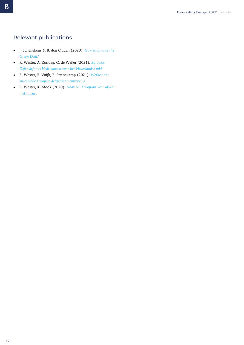## Relevant publications

- J. Schellekens & B. den Ouden (2020): *[How to finance the](https://www.berenschot.com/news/costs-of-achieving-green-deal)  [Green Deal?](https://www.berenschot.com/news/costs-of-achieving-green-deal)*
- R. Wester, A. Zondag, C. de Weijer (2021): *[Europees](https://www.berenschot.nl/media/5r2ducd2/artikel_europees-defensiefonds-biedt-kansen-voor-het-nederlands-mkb.pdf)  [Defensiefonds biedt kansen voor het Nederlandse mkb](https://www.berenschot.nl/media/5r2ducd2/artikel_europees-defensiefonds-biedt-kansen-voor-het-nederlands-mkb.pdf)*
- R. Wester, R. Vuijk, B. Pennekamp (2021): *[Werken aan](https://www.berenschot.nl/media/z5qk5gzj/werken-aan-succesvolle-europese-defensiesamenwerking.pdf)  [succesvolle Europese defensiesamenwerking](https://www.berenschot.nl/media/z5qk5gzj/werken-aan-succesvolle-europese-defensiesamenwerking.pdf)*
- R. Wester, K. Mook (2020): *[Naar een European Year of Rail](https://www.berenschot.nl/media/sngetzjs/paper_naar_een_european_year_of_rail_met_impact.pdf)  [met impact](https://www.berenschot.nl/media/sngetzjs/paper_naar_een_european_year_of_rail_met_impact.pdf)*